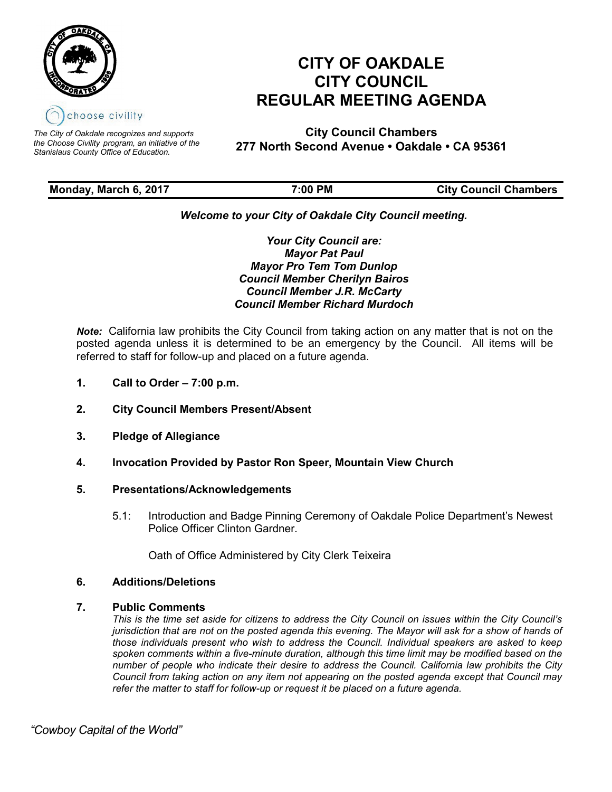

*The City of Oakdale recognizes and supports the Choose Civility program, an initiative of the Stanislaus County Office of Education.*

# **CITY OF OAKDALE CITY COUNCIL REGULAR MEETING AGENDA**

**City Council Chambers 277 North Second Avenue • Oakdale • CA 95361**

| Monday, March 6, 2017 | 7:00 PM | <b>City Council Chambers</b> |
|-----------------------|---------|------------------------------|
|                       |         |                              |

# *Welcome to your City of Oakdale City Council meeting.*

*Your City Council are: Mayor Pat Paul Mayor Pro Tem Tom Dunlop Council Member Cherilyn Bairos Council Member J.R. McCarty Council Member Richard Murdoch*

*Note:* California law prohibits the City Council from taking action on any matter that is not on the posted agenda unless it is determined to be an emergency by the Council. All items will be referred to staff for follow-up and placed on a future agenda.

- **1. Call to Order – 7:00 p.m.**
- **2. City Council Members Present/Absent**
- **3. Pledge of Allegiance**
- **4. Invocation Provided by Pastor Ron Speer, Mountain View Church**

## **5. Presentations/Acknowledgements**

5.1: Introduction and Badge Pinning Ceremony of Oakdale Police Department's Newest Police Officer Clinton Gardner.

Oath of Office Administered by City Clerk Teixeira

## **6. Additions/Deletions**

## **7. Public Comments**

*This is the time set aside for citizens to address the City Council on issues within the City Council's jurisdiction that are not on the posted agenda this evening. The Mayor will ask for a show of hands of those individuals present who wish to address the Council. Individual speakers are asked to keep spoken comments within a five-minute duration, although this time limit may be modified based on the number of people who indicate their desire to address the Council. California law prohibits the City Council from taking action on any item not appearing on the posted agenda except that Council may refer the matter to staff for follow-up or request it be placed on a future agenda.*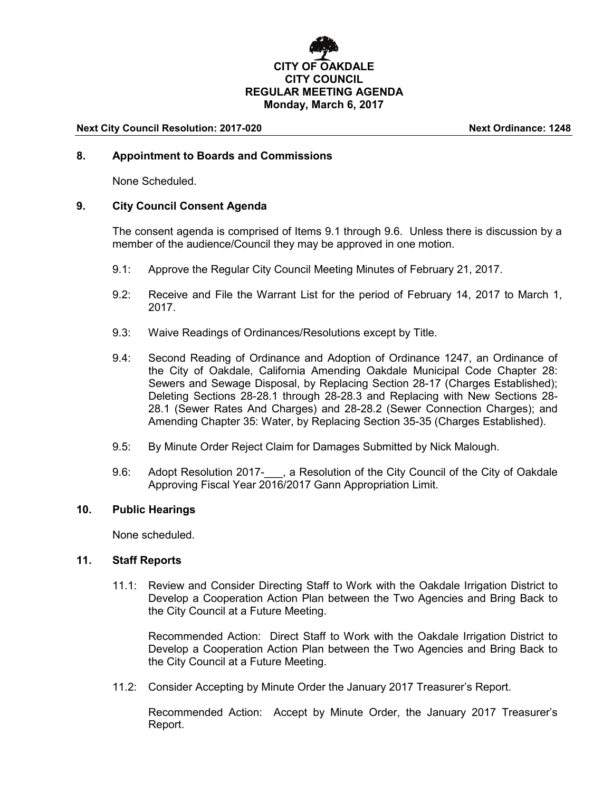# **CITY OF OAKDALE CITY COUNCIL REGULAR MEETING AGENDA Monday, March 6, 2017**

### **Next City Council Resolution: 2017-020 Next Ordinance: 1248**

## **8. Appointment to Boards and Commissions**

None Scheduled.

## **9. City Council Consent Agenda**

The consent agenda is comprised of Items 9.1 through 9.6. Unless there is discussion by a member of the audience/Council they may be approved in one motion.

- 9.1: Approve the Regular City Council Meeting Minutes of February 21, 2017.
- 9.2: Receive and File the Warrant List for the period of February 14, 2017 to March 1, 2017.
- 9.3: Waive Readings of Ordinances/Resolutions except by Title.
- 9.4: Second Reading of Ordinance and Adoption of Ordinance 1247, an Ordinance of the City of Oakdale, California Amending Oakdale Municipal Code Chapter 28: Sewers and Sewage Disposal, by Replacing Section 28-17 (Charges Established); Deleting Sections 28-28.1 through 28-28.3 and Replacing with New Sections 28- 28.1 (Sewer Rates And Charges) and 28-28.2 (Sewer Connection Charges); and Amending Chapter 35: Water, by Replacing Section 35-35 (Charges Established).
- 9.5: By Minute Order Reject Claim for Damages Submitted by Nick Malough.
- 9.6: Adopt Resolution 2017- . a Resolution of the City Council of the City of Oakdale Approving Fiscal Year 2016/2017 Gann Appropriation Limit.

## **10. Public Hearings**

None scheduled.

## **11. Staff Reports**

11.1: Review and Consider Directing Staff to Work with the Oakdale Irrigation District to Develop a Cooperation Action Plan between the Two Agencies and Bring Back to the City Council at a Future Meeting.

Recommended Action: Direct Staff to Work with the Oakdale Irrigation District to Develop a Cooperation Action Plan between the Two Agencies and Bring Back to the City Council at a Future Meeting.

11.2: Consider Accepting by Minute Order the January 2017 Treasurer's Report.

Recommended Action: Accept by Minute Order, the January 2017 Treasurer's Report.